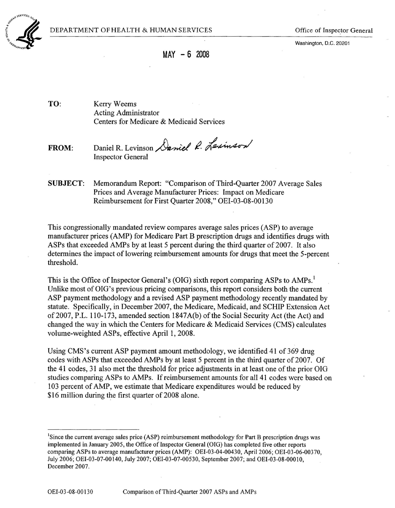Washington. D.C. 20201



**MAY - 6** <sup>2008</sup>

TO: Kerry Weems Acting Administrator Centers for Medicare & Medicaid Services

FROM: Daniel R. Levinson Daniel R. Lexinson Inspector General

SUBJECT: Memorandum Report: "Comparison of Third-Quarter 2007 Average Sales Prices and Average Manufacturer Prices: Impact on Medicare Reimbursement for First Quarter 2008," OEI-03-08-00130

This congressionally mandated review compares average sales prices (ASP) to average manufacturer prices (AMP) for Medicare Part B prescription drugs and identifies drugs with ASPs that exceeded AMPs by at least 5 percent during the third quarter of 2007. It also determines the impact of lowering reimbursement amounts for drugs that meet the 5-percent threshold.

This is the Office of Inspector General's (OIG) sixth report comparing ASPs to AMPs.<sup>1</sup> Unlike most of OIG's previous pricing comparisons, this report considers both the current ASP payment methodology and a revised ASP payment methodology recently mandated by statute. Specifically, in December 2007, the Medicare, Medicaid, and SCHIP Extension Act of 2007, P.L. 110-173, amended section 1847A(b) of the Social Security Act (the Act) and changed the way in which the Centers for Medicare & Medicaid Services (CMS) calculates volume-weighted ASPs, effective April 1, 2008.

Using CMS's current ASP payment amount methodology, we identified 41 of 369 drug codes with ASPs that exceeded AMPs by at least 5 percent in the third quarter of 2007. Of the 41 codes, 31 also met the threshold for price adjustments in at least one of the prior OIG studies comparing ASPs to AMPs. If reimbursement amounts for all 41 codes were based on 103 percent of AMP, we estimate that Medicare expenditures would be reduced by \$16 million during the first quarter of 2008 alone.

<sup>&#</sup>x27;Since the current average sales price (ASP) reimbursement methodology for Part B prescription drugs was implemented in January 2005, the Office of Inspector General (OIG) has completed five other reports comparing ASPs to average manufacturer prices (AMP): OEI-03-04-00430, April 2006; OEI-03-06-00370, July 2006; OEI-03-07-00140, July 2007; OEI-03-07-00530, September 2007; and OEI-03-08-0001O, December 2007.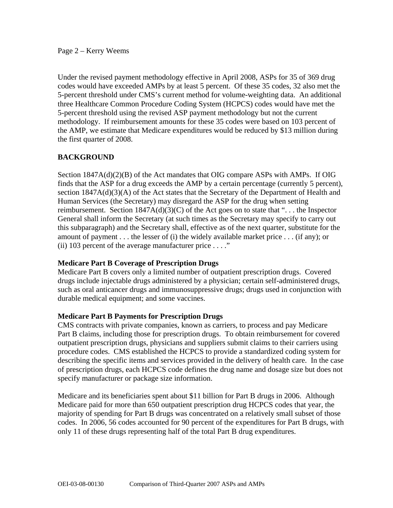#### Page 2 – Kerry Weems

Under the revised payment methodology effective in April 2008, ASPs for 35 of 369 drug codes would have exceeded AMPs by at least 5 percent. Of these 35 codes, 32 also met the 5-percent threshold under CMS's current method for volume-weighting data. An additional three Healthcare Common Procedure Coding System (HCPCS) codes would have met the 5-percent threshold using the revised ASP payment methodology but not the current methodology. If reimbursement amounts for these 35 codes were based on 103 percent of the AMP, we estimate that Medicare expenditures would be reduced by \$13 million during the first quarter of 2008.

# **BACKGROUND**

Section 1847A(d)(2)(B) of the Act mandates that OIG compare ASPs with AMPs. If OIG finds that the ASP for a drug exceeds the AMP by a certain percentage (currently 5 percent), section 1847A(d)(3)(A) of the Act states that the Secretary of the Department of Health and Human Services (the Secretary) may disregard the ASP for the drug when setting reimbursement. Section  $1847A(d)(3)(C)$  of the Act goes on to state that "... the Inspector General shall inform the Secretary (at such times as the Secretary may specify to carry out this subparagraph) and the Secretary shall, effective as of the next quarter, substitute for the amount of payment . . . the lesser of (i) the widely available market price . . . (if any); or (ii) 103 percent of the average manufacturer price  $\dots$ ."

### **Medicare Part B Coverage of Prescription Drugs**

Medicare Part B covers only a limited number of outpatient prescription drugs. Covered drugs include injectable drugs administered by a physician; certain self-administered drugs, such as oral anticancer drugs and immunosuppressive drugs; drugs used in conjunction with durable medical equipment; and some vaccines.

#### **Medicare Part B Payments for Prescription Drugs**

CMS contracts with private companies, known as carriers, to process and pay Medicare Part B claims, including those for prescription drugs. To obtain reimbursement for covered outpatient prescription drugs, physicians and suppliers submit claims to their carriers using procedure codes. CMS established the HCPCS to provide a standardized coding system for describing the specific items and services provided in the delivery of health care. In the case of prescription drugs, each HCPCS code defines the drug name and dosage size but does not specify manufacturer or package size information.

Medicare and its beneficiaries spent about \$11 billion for Part B drugs in 2006. Although Medicare paid for more than 650 outpatient prescription drug HCPCS codes that year, the majority of spending for Part B drugs was concentrated on a relatively small subset of those codes. In 2006, 56 codes accounted for 90 percent of the expenditures for Part B drugs, with only 11 of these drugs representing half of the total Part B drug expenditures.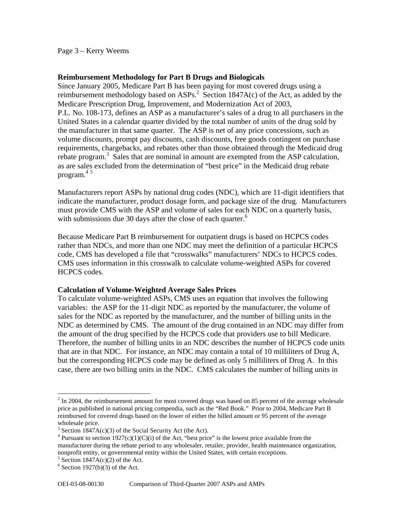Page 3 – Kerry Weems

### **Reimbursement Methodology for Part B Drugs and Biologicals**

 4 5 program. Since January 2005, Medicare Part B has been paying for most covered drugs using a reimbursement methodology based on  $ASPs<sup>2</sup>$ . Section 1847A(c) of the Act, as added by the Medicare Prescription Drug, Improvement, and Modernization Act of 2003, P.L. No. 108-173, defines an ASP as a manufacturer's sales of a drug to all purchasers in the United States in a calendar quarter divided by the total number of units of the drug sold by the manufacturer in that same quarter. The ASP is net of any price concessions, such as volume discounts, prompt pay discounts, cash discounts, free goods contingent on purchase requirements, chargebacks, and rebates other than those obtained through the Medicaid drug rebate program.<sup>3</sup> Sales that are nominal in amount are exempted from the ASP calculation, as are sales excluded from the determination of "best price" in the Medicaid drug rebate

Manufacturers report ASPs by national drug codes (NDC), which are 11-digit identifiers that indicate the manufacturer, product dosage form, and package size of the drug. Manufacturers must provide CMS with the ASP and volume of sales for each NDC on a quarterly basis, with submissions due 30 days after the close of each quarter. $<sup>6</sup>$ </sup>

Because Medicare Part B reimbursement for outpatient drugs is based on HCPCS codes rather than NDCs, and more than one NDC may meet the definition of a particular HCPCS code, CMS has developed a file that "crosswalks" manufacturers' NDCs to HCPCS codes. CMS uses information in this crosswalk to calculate volume-weighted ASPs for covered HCPCS codes.

#### **Calculation of Volume-Weighted Average Sales Prices**

To calculate volume-weighted ASPs, CMS uses an equation that involves the following variables: the ASP for the 11-digit NDC as reported by the manufacturer, the volume of sales for the NDC as reported by the manufacturer, and the number of billing units in the NDC as determined by CMS. The amount of the drug contained in an NDC may differ from the amount of the drug specified by the HCPCS code that providers use to bill Medicare. Therefore, the number of billing units in an NDC describes the number of HCPCS code units that are in that NDC. For instance, an NDC may contain a total of 10 milliliters of Drug A, but the corresponding HCPCS code may be defined as only 5 milliliters of Drug A. In this case, there are two billing units in the NDC. CMS calculates the number of billing units in

 reimbursed for covered drugs based on the lower of either the billed amount or 95 percent of the average  $2 \text{ In } 2004$ , the reimbursement amount for most covered drugs was based on 85 percent of the average wholesale price as published in national pricing compendia, such as the "Red Book." Prior to 2004, Medicare Part B wholesale price.

<sup>&</sup>lt;sup>3</sup> Section 1847A(c)(3) of the Social Security Act (the Act).

<sup>&</sup>lt;sup>4</sup> Pursuant to section 1927(c)(1)(C)(i) of the Act, "best price" is the lowest price available from the manufacturer during the rebate period to any wholesaler, retailer, provider, health maintenance organization, nonprofit entity, or governmental entity within the United States, with certain exceptions.

 $5$  Section 1847A(c)(2) of the Act.

 $6$  Section 1927(b)(3) of the Act.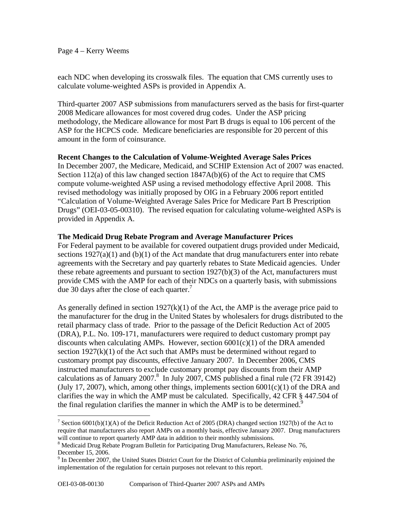Page 4 – Kerry Weems

each NDC when developing its crosswalk files. The equation that CMS currently uses to calculate volume-weighted ASPs is provided in Appendix A.

Third-quarter 2007 ASP submissions from manufacturers served as the basis for first-quarter 2008 Medicare allowances for most covered drug codes. Under the ASP pricing methodology, the Medicare allowance for most Part B drugs is equal to 106 percent of the ASP for the HCPCS code. Medicare beneficiaries are responsible for 20 percent of this amount in the form of coinsurance.

### **Recent Changes to the Calculation of Volume-Weighted Average Sales Prices**

In December 2007, the Medicare, Medicaid, and SCHIP Extension Act of 2007 was enacted. Section 112(a) of this law changed section 1847A(b)(6) of the Act to require that CMS compute volume-weighted ASP using a revised methodology effective April 2008. This revised methodology was initially proposed by OIG in a February 2006 report entitled "Calculation of Volume-Weighted Average Sales Price for Medicare Part B Prescription Drugs" (OEI-03-05-00310). The revised equation for calculating volume-weighted ASPs is provided in Appendix A.

### **The Medicaid Drug Rebate Program and Average Manufacturer Prices**

due 30 days after the close of each quarter.<sup>7</sup> For Federal payment to be available for covered outpatient drugs provided under Medicaid, sections  $1927(a)(1)$  and  $(b)(1)$  of the Act mandate that drug manufacturers enter into rebate agreements with the Secretary and pay quarterly rebates to State Medicaid agencies. Under these rebate agreements and pursuant to section 1927(b)(3) of the Act, manufacturers must provide CMS with the AMP for each of their NDCs on a quarterly basis, with submissions

As generally defined in section  $1927(k)(1)$  of the Act, the AMP is the average price paid to the manufacturer for the drug in the United States by wholesalers for drugs distributed to the retail pharmacy class of trade. Prior to the passage of the Deficit Reduction Act of 2005 (DRA), P.L. No. 109-171, manufacturers were required to deduct customary prompt pay discounts when calculating AMPs. However, section  $6001(c)(1)$  of the DRA amended section  $1927(k)(1)$  of the Act such that AMPs must be determined without regard to customary prompt pay discounts, effective January 2007. In December 2006, CMS instructed manufacturers to exclude customary prompt pay discounts from their AMP calculations as of January 2007.<sup>8</sup> In July 2007, CMS published a final rule (72 FR 39142) (July 17, 2007), which, among other things, implements section  $6001(c)(1)$  of the DRA and clarifies the way in which the AMP must be calculated. Specifically, 42 CFR § 447.504 of the final regulation clarifies the manner in which the AMP is to be determined.<sup>9</sup>

 require that manufacturers also report AMPs on a monthly basis, effective January 2007. Drug manufacturers <sup>7</sup> Section 6001(b)(1)(A) of the Deficit Reduction Act of 2005 (DRA) changed section 1927(b) of the Act to will continue to report quarterly AMP data in addition to their monthly submissions.

<sup>&</sup>lt;sup>8</sup> Medicaid Drug Rebate Program Bulletin for Participating Drug Manufacturers, Release No. 76, December 15, 2006.

 implementation of the regulation for certain purposes not relevant to this report. <sup>9</sup> In December 2007, the United States District Court for the District of Columbia preliminarily enjoined the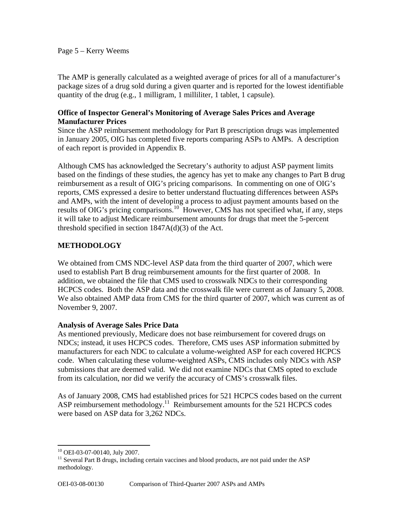#### Page 5 – Kerry Weems

The AMP is generally calculated as a weighted average of prices for all of a manufacturer's package sizes of a drug sold during a given quarter and is reported for the lowest identifiable quantity of the drug (e.g., 1 milligram, 1 milliliter, 1 tablet, 1 capsule).

### **Office of Inspector General's Monitoring of Average Sales Prices and Average Manufacturer Prices**

Since the ASP reimbursement methodology for Part B prescription drugs was implemented in January 2005, OIG has completed five reports comparing ASPs to AMPs. A description of each report is provided in Appendix B.

Although CMS has acknowledged the Secretary's authority to adjust ASP payment limits based on the findings of these studies, the agency has yet to make any changes to Part B drug reimbursement as a result of OIG's pricing comparisons. In commenting on one of OIG's reports, CMS expressed a desire to better understand fluctuating differences between ASPs and AMPs, with the intent of developing a process to adjust payment amounts based on the results of OIG's pricing comparisons.<sup>10</sup> However, CMS has not specified what, if any, steps it will take to adjust Medicare reimbursement amounts for drugs that meet the 5-percent threshold specified in section  $1847A(d)(3)$  of the Act.

# **METHODOLOGY**

We obtained from CMS NDC-level ASP data from the third quarter of 2007, which were used to establish Part B drug reimbursement amounts for the first quarter of 2008. In addition, we obtained the file that CMS used to crosswalk NDCs to their corresponding HCPCS codes. Both the ASP data and the crosswalk file were current as of January 5, 2008. We also obtained AMP data from CMS for the third quarter of 2007, which was current as of November 9, 2007.

### **Analysis of Average Sales Price Data**

As mentioned previously, Medicare does not base reimbursement for covered drugs on NDCs; instead, it uses HCPCS codes. Therefore, CMS uses ASP information submitted by manufacturers for each NDC to calculate a volume-weighted ASP for each covered HCPCS code. When calculating these volume-weighted ASPs, CMS includes only NDCs with ASP submissions that are deemed valid. We did not examine NDCs that CMS opted to exclude from its calculation, nor did we verify the accuracy of CMS's crosswalk files.

As of January 2008, CMS had established prices for 521 HCPCS codes based on the current ASP reimbursement methodology.<sup>11</sup> Reimbursement amounts for the 521 HCPCS codes were based on ASP data for 3,262 NDCs.

 $\overline{a}$ 10 OEI-03-07-00140, July 2007.

 methodology.  $11$  Several Part B drugs, including certain vaccines and blood products, are not paid under the ASP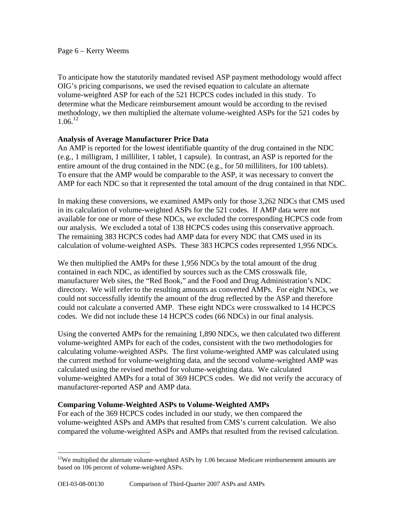$1.06^{12}$ To anticipate how the statutorily mandated revised ASP payment methodology would affect OIG's pricing comparisons, we used the revised equation to calculate an alternate volume-weighted ASP for each of the 521 HCPCS codes included in this study. To determine what the Medicare reimbursement amount would be according to the revised methodology, we then multiplied the alternate volume-weighted ASPs for the 521 codes by

### **Analysis of Average Manufacturer Price Data**

An AMP is reported for the lowest identifiable quantity of the drug contained in the NDC (e.g., 1 milligram, 1 milliliter, 1 tablet, 1 capsule). In contrast, an ASP is reported for the entire amount of the drug contained in the NDC (e.g., for 50 milliliters, for 100 tablets). To ensure that the AMP would be comparable to the ASP, it was necessary to convert the AMP for each NDC so that it represented the total amount of the drug contained in that NDC.

In making these conversions, we examined AMPs only for those 3,262 NDCs that CMS used in its calculation of volume-weighted ASPs for the 521 codes. If AMP data were not available for one or more of these NDCs, we excluded the corresponding HCPCS code from our analysis. We excluded a total of 138 HCPCS codes using this conservative approach. The remaining 383 HCPCS codes had AMP data for every NDC that CMS used in its calculation of volume-weighted ASPs. These 383 HCPCS codes represented 1,956 NDCs.

We then multiplied the AMPs for these 1,956 NDCs by the total amount of the drug contained in each NDC, as identified by sources such as the CMS crosswalk file, manufacturer Web sites, the "Red Book," and the Food and Drug Administration's NDC directory. We will refer to the resulting amounts as converted AMPs. For eight NDCs, we could not successfully identify the amount of the drug reflected by the ASP and therefore could not calculate a converted AMP. These eight NDCs were crosswalked to 14 HCPCS codes. We did not include these 14 HCPCS codes (66 NDCs) in our final analysis.

Using the converted AMPs for the remaining 1,890 NDCs, we then calculated two different volume-weighted AMPs for each of the codes, consistent with the two methodologies for calculating volume-weighted ASPs. The first volume-weighted AMP was calculated using the current method for volume-weighting data, and the second volume-weighted AMP was calculated using the revised method for volume-weighting data. We calculated volume-weighted AMPs for a total of 369 HCPCS codes. We did not verify the accuracy of manufacturer-reported ASP and AMP data.

### **Comparing Volume-Weighted ASPs to Volume-Weighted AMPs**

For each of the 369 HCPCS codes included in our study, we then compared the volume-weighted ASPs and AMPs that resulted from CMS's current calculation. We also compared the volume-weighted ASPs and AMPs that resulted from the revised calculation.

 $12$ We multiplied the alternate volume-weighted ASPs by 1.06 because Medicare reimbursement amounts are based on 106 percent of volume-weighted ASPs.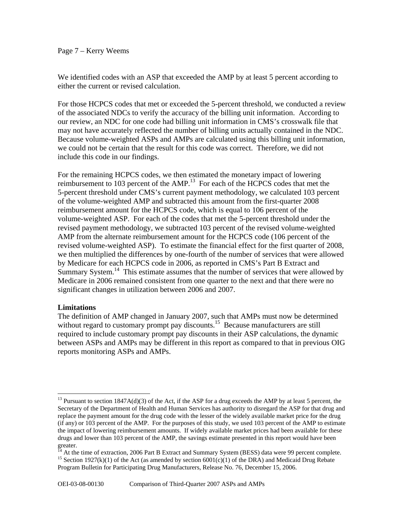#### Page 7 – Kerry Weems

We identified codes with an ASP that exceeded the AMP by at least 5 percent according to either the current or revised calculation.

For those HCPCS codes that met or exceeded the 5-percent threshold, we conducted a review of the associated NDCs to verify the accuracy of the billing unit information. According to our review, an NDC for one code had billing unit information in CMS's crosswalk file that may not have accurately reflected the number of billing units actually contained in the NDC. Because volume-weighted ASPs and AMPs are calculated using this billing unit information, we could not be certain that the result for this code was correct. Therefore, we did not include this code in our findings.

For the remaining HCPCS codes, we then estimated the monetary impact of lowering reimbursement to 103 percent of the AMP.<sup>13</sup> For each of the HCPCS codes that met the 5-percent threshold under CMS's current payment methodology, we calculated 103 percent of the volume-weighted AMP and subtracted this amount from the first-quarter 2008 reimbursement amount for the HCPCS code, which is equal to 106 percent of the volume-weighted ASP. For each of the codes that met the 5-percent threshold under the revised payment methodology, we subtracted 103 percent of the revised volume-weighted AMP from the alternate reimbursement amount for the HCPCS code (106 percent of the revised volume-weighted ASP). To estimate the financial effect for the first quarter of 2008, we then multiplied the differences by one-fourth of the number of services that were allowed by Medicare for each HCPCS code in 2006, as reported in CMS's Part B Extract and Summary System.<sup>14</sup> This estimate assumes that the number of services that were allowed by Medicare in 2006 remained consistent from one quarter to the next and that there were no significant changes in utilization between 2006 and 2007.

#### **Limitations**

 $\overline{a}$ 

The definition of AMP changed in January 2007, such that AMPs must now be determined without regard to customary prompt pay discounts.<sup>15</sup> Because manufacturers are still required to include customary prompt pay discounts in their ASP calculations, the dynamic between ASPs and AMPs may be different in this report as compared to that in previous OIG reports monitoring ASPs and AMPs.

 (if any) or 103 percent of the AMP. For the purposes of this study, we used 103 percent of the AMP to estimate <sup>13</sup> Pursuant to section 1847A(d)(3) of the Act, if the ASP for a drug exceeds the AMP by at least 5 percent, the Secretary of the Department of Health and Human Services has authority to disregard the ASP for that drug and replace the payment amount for the drug code with the lesser of the widely available market price for the drug the impact of lowering reimbursement amounts. If widely available market prices had been available for these drugs and lower than 103 percent of the AMP, the savings estimate presented in this report would have been greater.

 $\ddot{\phantom{a}}$ <sup>14</sup> At the time of extraction, 2006 Part B Extract and Summary System (BESS) data were 99 percent complete. <sup>15</sup> Section 1927(k)(1) of the Act (as amended by section 6001(c)(1) of the DRA) and Medicaid Drug Rebate

Program Bulletin for Participating Drug Manufacturers, Release No. 76, December 15, 2006.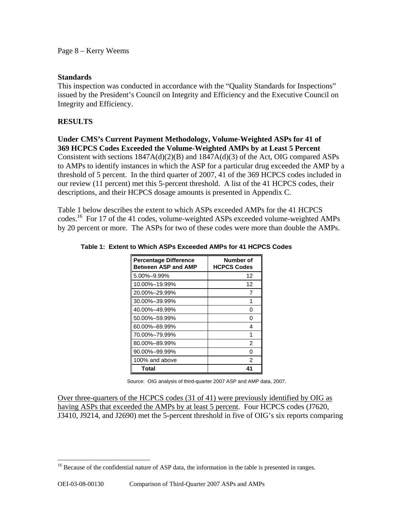Page 8 – Kerry Weems

### **Standards**

This inspection was conducted in accordance with the "Quality Standards for Inspections" issued by the President's Council on Integrity and Efficiency and the Executive Council on Integrity and Efficiency.

# **RESULTS**

 $\overline{a}$ 

**Under CMS's Current Payment Methodology, Volume-Weighted ASPs for 41 of 369 HCPCS Codes Exceeded the Volume-Weighted AMPs by at Least 5 Percent**  Consistent with sections 1847A(d)(2)(B) and 1847A(d)(3) of the Act, OIG compared ASPs to AMPs to identify instances in which the ASP for a particular drug exceeded the AMP by a threshold of 5 percent. In the third quarter of 2007, 41 of the 369 HCPCS codes included in our review (11 percent) met this 5-percent threshold. A list of the 41 HCPCS codes, their

descriptions, and their HCPCS dosage amounts is presented in Appendix C.

Table 1 below describes the extent to which ASPs exceeded AMPs for the 41 HCPCS codes.<sup>16</sup> For 17 of the 41 codes, volume-weighted ASPs exceeded volume-weighted AMPs by 20 percent or more. The ASPs for two of these codes were more than double the AMPs.

| <b>Percentage Difference</b><br><b>Between ASP and AMP</b> | <b>Number of</b><br><b>HCPCS Codes</b> |
|------------------------------------------------------------|----------------------------------------|
| 5.00%-9.99%                                                | 12                                     |
| 10.00%-19.99%                                              | 12                                     |
| 20.00%-29.99%                                              | 7                                      |
| 30.00%-39.99%                                              | 1                                      |
| 40.00%-49.99%                                              | O                                      |
| 50.00%-59.99%                                              | U                                      |
| 60.00%-69.99%                                              | 4                                      |
| 70.00%–79.99%                                              | 1                                      |
| 80.00%-89.99%                                              | $\mathfrak{p}$                         |
| 90.00%-99.99%                                              | O                                      |
| 100% and above                                             | $\mathfrak{p}$                         |
| Total                                                      | 41                                     |

#### **Table 1: Extent to Which ASPs Exceeded AMPs for 41 HCPCS Codes**

Source: OIG analysis of third-quarter 2007 ASP and AMP data, 2007.

Over three-quarters of the HCPCS codes (31 of 41) were previously identified by OIG as having ASPs that exceeded the AMPs by at least 5 percent. Four HCPCS codes (J7620, J3410, J9214, and J2690) met the 5-percent threshold in five of OIG's six reports comparing

<sup>&</sup>lt;sup>16</sup> Because of the confidential nature of ASP data, the information in the table is presented in ranges.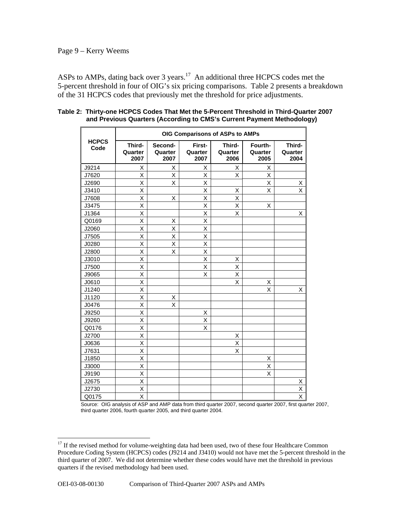ASPs to AMPs, dating back over 3 years.<sup>17</sup> An additional three HCPCS codes met the 5-percent threshold in four of OIG's six pricing comparisons. Table 2 presents a breakdown of the 31 HCPCS codes that previously met the threshold for price adjustments.

|                      | OIG Comparisons of ASPs to AMPs |                            |                           |                           |                            |                           |
|----------------------|---------------------------------|----------------------------|---------------------------|---------------------------|----------------------------|---------------------------|
| <b>HCPCS</b><br>Code | Third-<br>Quarter<br>2007       | Second-<br>Quarter<br>2007 | First-<br>Quarter<br>2007 | Third-<br>Quarter<br>2006 | Fourth-<br>Quarter<br>2005 | Third-<br>Quarter<br>2004 |
| J9214                | Χ                               | X                          | х                         | х                         | х                          |                           |
| J7620                | X                               | X                          | Χ                         | X                         | X                          |                           |
| J2690                | Χ                               | X                          | Χ                         |                           | Χ                          | Χ                         |
| J3410                | X                               |                            | X                         | X                         | X                          | X                         |
| J7608                | X                               | X                          | X                         | X                         |                            |                           |
| J3475                | Χ                               |                            | Χ                         | X                         | X                          |                           |
| J1364                | Χ                               |                            | Χ                         | X                         |                            | х                         |
| Q0169                | X                               | Χ                          | Χ                         |                           |                            |                           |
| J2060                | X                               | Χ                          | X                         |                           |                            |                           |
| J7505                | X                               | X                          | Χ                         |                           |                            |                           |
| J0280                | Χ                               | X                          | X                         |                           |                            |                           |
| J2800                | Χ                               | Χ                          | Χ                         |                           |                            |                           |
| J3010                | X                               |                            | Χ                         | Χ                         |                            |                           |
| J7500                | Χ                               |                            | X                         | Χ                         |                            |                           |
| J9065                | X                               |                            | X                         | Χ                         |                            |                           |
| J0610                | X                               |                            |                           | X                         | Χ                          |                           |
| J1240                | X                               |                            |                           |                           | Χ                          | Χ                         |
| J1120                | Χ                               | Χ                          |                           |                           |                            |                           |
| J0476                | Χ                               | X                          |                           |                           |                            |                           |
| J9250                | X                               |                            | х                         |                           |                            |                           |
| J9260                | X                               |                            | X                         |                           |                            |                           |
| Q0176                | Χ                               |                            | X                         |                           |                            |                           |
| J2700                | Χ                               |                            |                           | X                         |                            |                           |
| J0636                | Χ                               |                            |                           | Χ                         |                            |                           |
| J7631                | X                               |                            |                           | X                         |                            |                           |
| J1850                | X                               |                            |                           |                           | X                          |                           |
| J3000                | Χ                               |                            |                           |                           | Χ                          |                           |
| J9190                | X                               |                            |                           |                           | X                          |                           |
| J2675                | X                               |                            |                           |                           |                            | Χ                         |
| J2730                | Χ                               |                            |                           |                           |                            | X                         |
| Q0175                | X                               |                            |                           |                           |                            | X                         |

**Table 2: Thirty-one HCPCS Codes That Met the 5-Percent Threshold in Third-Quarter 2007 and Previous Quarters (According to CMS's Current Payment Methodology)** 

Source: OIG analysis of ASP and AMP data from third quarter 2007, second quarter 2007, first quarter 2007, third quarter 2006, fourth quarter 2005, and third quarter 2004.

 Procedure Coding System (HCPCS) codes (J9214 and J3410) would not have met the 5-percent threshold in the third quarter of 2007. We did not determine whether these codes would have met the threshold in previous quarters if the revised methodology had been used. <sup>17</sup> If the revised method for volume-weighting data had been used, two of these four Healthcare Common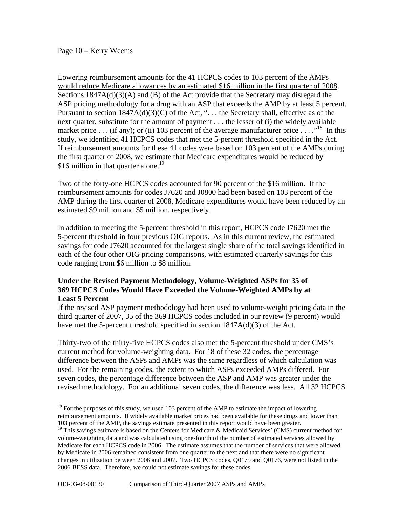#### Page 10 – Kerry Weems

 $\overline{a}$ 

Lowering reimbursement amounts for the 41 HCPCS codes to 103 percent of the AMPs would reduce Medicare allowances by an estimated \$16 million in the first quarter of 2008. Sections  $1847A(d)(3)(A)$  and (B) of the Act provide that the Secretary may disregard the ASP pricing methodology for a drug with an ASP that exceeds the AMP by at least 5 percent. Pursuant to section  $1847A(d)(3)(C)$  of the Act, "... the Secretary shall, effective as of the next quarter, substitute for the amount of payment . . . the lesser of (i) the widely available market price . . . (if any); or (ii) 103 percent of the average manufacturer price . . . .<sup>18</sup> In this study, we identified 41 HCPCS codes that met the 5-percent threshold specified in the Act. If reimbursement amounts for these 41 codes were based on 103 percent of the AMPs during the first quarter of 2008, we estimate that Medicare expenditures would be reduced by \$16 million in that quarter alone.<sup>19</sup>

Two of the forty-one HCPCS codes accounted for 90 percent of the \$16 million. If the reimbursement amounts for codes J7620 and J0800 had been based on 103 percent of the AMP during the first quarter of 2008, Medicare expenditures would have been reduced by an estimated \$9 million and \$5 million, respectively.

In addition to meeting the 5-percent threshold in this report, HCPCS code J7620 met the 5-percent threshold in four previous OIG reports. As in this current review, the estimated savings for code J7620 accounted for the largest single share of the total savings identified in each of the four other OIG pricing comparisons, with estimated quarterly savings for this code ranging from \$6 million to \$8 million.

### **Under the Revised Payment Methodology, Volume-Weighted ASPs for 35 of 369 HCPCS Codes Would Have Exceeded the Volume-Weighted AMPs by at Least 5 Percent**

If the revised ASP payment methodology had been used to volume-weight pricing data in the third quarter of 2007, 35 of the 369 HCPCS codes included in our review (9 percent) would have met the 5-percent threshold specified in section 1847A(d)(3) of the Act.

Thirty-two of the thirty-five HCPCS codes also met the 5-percent threshold under CMS's current method for volume-weighting data. For 18 of these 32 codes, the percentage difference between the ASPs and AMPs was the same regardless of which calculation was used. For the remaining codes, the extent to which ASPs exceeded AMPs differed. For seven codes, the percentage difference between the ASP and AMP was greater under the revised methodology. For an additional seven codes, the difference was less. All 32 HCPCS

 103 percent of the AMP, the savings estimate presented in this report would have been greater.  $18$  For the purposes of this study, we used 103 percent of the AMP to estimate the impact of lowering reimbursement amounts. If widely available market prices had been available for these drugs and lower than

 changes in utilization between 2006 and 2007. Two HCPCS codes, Q0175 and Q0176, were not listed in the <sup>19</sup> This savings estimate is based on the Centers for Medicare & Medicaid Services' (CMS) current method for volume-weighting data and was calculated using one-fourth of the number of estimated services allowed by Medicare for each HCPCS code in 2006. The estimate assumes that the number of services that were allowed by Medicare in 2006 remained consistent from one quarter to the next and that there were no significant 2006 BESS data. Therefore, we could not estimate savings for these codes.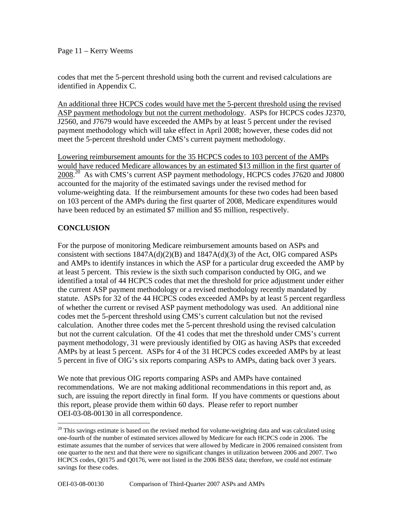codes that met the 5-percent threshold using both the current and revised calculations are identified in Appendix C.

An additional three HCPCS codes would have met the 5-percent threshold using the revised ASP payment methodology but not the current methodology. ASPs for HCPCS codes J2370, J2560, and J7679 would have exceeded the AMPs by at least 5 percent under the revised payment methodology which will take effect in April 2008; however, these codes did not meet the 5-percent threshold under CMS's current payment methodology.

Lowering reimbursement amounts for the 35 HCPCS codes to 103 percent of the AMPs would have reduced Medicare allowances by an estimated \$13 million in the first quarter of 2008<sup>20</sup> As with CMS's current ASP payment methodology, HCPCS codes J7620 and J0800 accounted for the majority of the estimated savings under the revised method for volume-weighting data. If the reimbursement amounts for these two codes had been based on 103 percent of the AMPs during the first quarter of 2008, Medicare expenditures would have been reduced by an estimated \$7 million and \$5 million, respectively.

# **CONCLUSION**

1

For the purpose of monitoring Medicare reimbursement amounts based on ASPs and consistent with sections  $1847A(d)(2)(B)$  and  $1847A(d)(3)$  of the Act, OIG compared ASPs and AMPs to identify instances in which the ASP for a particular drug exceeded the AMP by at least 5 percent. This review is the sixth such comparison conducted by OIG, and we identified a total of 44 HCPCS codes that met the threshold for price adjustment under either the current ASP payment methodology or a revised methodology recently mandated by statute. ASPs for 32 of the 44 HCPCS codes exceeded AMPs by at least 5 percent regardless of whether the current or revised ASP payment methodology was used. An additional nine codes met the 5-percent threshold using CMS's current calculation but not the revised calculation. Another three codes met the 5-percent threshold using the revised calculation but not the current calculation. Of the 41 codes that met the threshold under CMS's current payment methodology, 31 were previously identified by OIG as having ASPs that exceeded AMPs by at least 5 percent. ASPs for 4 of the 31 HCPCS codes exceeded AMPs by at least 5 percent in five of OIG's six reports comparing ASPs to AMPs, dating back over 3 years.

We note that previous OIG reports comparing ASPs and AMPs have contained recommendations. We are not making additional recommendations in this report and, as such, are issuing the report directly in final form. If you have comments or questions about this report, please provide them within 60 days. Please refer to report number OEI-03-08-00130 in all correspondence.

 one-fourth of the number of estimated services allowed by Medicare for each HCPCS code in 2006. The one quarter to the next and that there were no significant changes in utilization between 2006 and 2007. Two  $20$  This savings estimate is based on the revised method for volume-weighting data and was calculated using estimate assumes that the number of services that were allowed by Medicare in 2006 remained consistent from HCPCS codes, Q0175 and Q0176, were not listed in the 2006 BESS data; therefore, we could not estimate savings for these codes.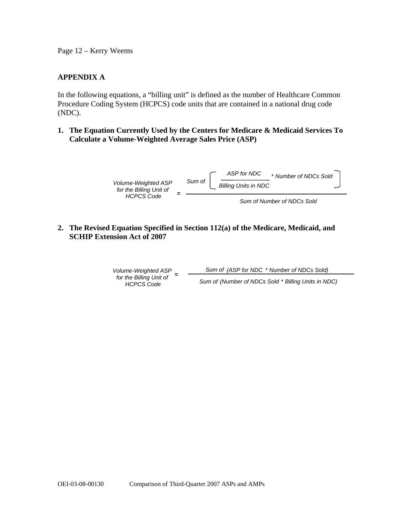Page 12 – Kerry Weems

### **APPENDIX A**

In the following equations, a "billing unit" is defined as the number of Healthcare Common Procedure Coding System (HCPCS) code units that are contained in a national drug code (NDC).

**1. The Equation Currently Used by the Centers for Medicare & Medicaid Services To Calculate a Volume-Weighted Average Sales Price (ASP)** 



**2. The Revised Equation Specified in Section 112(a) of the Medicare, Medicaid, and SCHIP Extension Act of 2007** 

*Volume-Weighted ASP Sum of (ASP for NDC* \* *Number of NDCs Sold)* **<sup>=</sup>***for the Billing Unit of Sum of (Number of NDCs Sold* \* *Billing Units in NDC) HCPCS Code*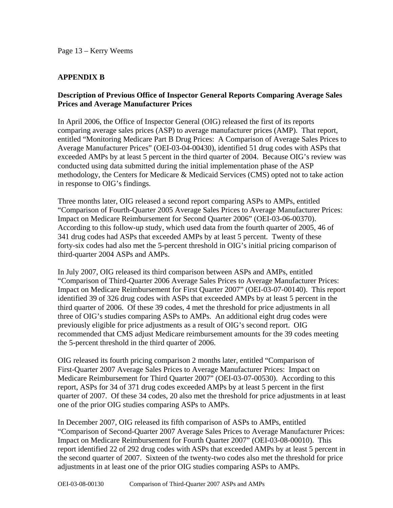### **APPENDIX B**

### **Description of Previous Office of Inspector General Reports Comparing Average Sales Prices and Average Manufacturer Prices**

In April 2006, the Office of Inspector General (OIG) released the first of its reports comparing average sales prices (ASP) to average manufacturer prices (AMP). That report, entitled "Monitoring Medicare Part B Drug Prices: A Comparison of Average Sales Prices to Average Manufacturer Prices" (OEI-03-04-00430), identified 51 drug codes with ASPs that exceeded AMPs by at least 5 percent in the third quarter of 2004. Because OIG's review was conducted using data submitted during the initial implementation phase of the ASP methodology, the Centers for Medicare & Medicaid Services (CMS) opted not to take action in response to OIG's findings.

Three months later, OIG released a second report comparing ASPs to AMPs, entitled "Comparison of Fourth-Quarter 2005 Average Sales Prices to Average Manufacturer Prices: Impact on Medicare Reimbursement for Second Quarter 2006" (OEI-03-06-00370). According to this follow-up study, which used data from the fourth quarter of 2005, 46 of 341 drug codes had ASPs that exceeded AMPs by at least 5 percent. Twenty of these forty-six codes had also met the 5-percent threshold in OIG's initial pricing comparison of third-quarter 2004 ASPs and AMPs.

In July 2007, OIG released its third comparison between ASPs and AMPs, entitled "Comparison of Third-Quarter 2006 Average Sales Prices to Average Manufacturer Prices: Impact on Medicare Reimbursement for First Quarter 2007" (OEI-03-07-00140). This report identified 39 of 326 drug codes with ASPs that exceeded AMPs by at least 5 percent in the third quarter of 2006. Of these 39 codes, 4 met the threshold for price adjustments in all three of OIG's studies comparing ASPs to AMPs. An additional eight drug codes were previously eligible for price adjustments as a result of OIG's second report. OIG recommended that CMS adjust Medicare reimbursement amounts for the 39 codes meeting the 5-percent threshold in the third quarter of 2006.

OIG released its fourth pricing comparison 2 months later, entitled "Comparison of First-Quarter 2007 Average Sales Prices to Average Manufacturer Prices: Impact on Medicare Reimbursement for Third Quarter 2007" (OEI-03-07-00530). According to this report, ASPs for 34 of 371 drug codes exceeded AMPs by at least 5 percent in the first quarter of 2007. Of these 34 codes, 20 also met the threshold for price adjustments in at least one of the prior OIG studies comparing ASPs to AMPs.

In December 2007, OIG released its fifth comparison of ASPs to AMPs, entitled "Comparison of Second-Quarter 2007 Average Sales Prices to Average Manufacturer Prices: Impact on Medicare Reimbursement for Fourth Quarter 2007" (OEI-03-08-00010). This report identified 22 of 292 drug codes with ASPs that exceeded AMPs by at least 5 percent in the second quarter of 2007. Sixteen of the twenty-two codes also met the threshold for price adjustments in at least one of the prior OIG studies comparing ASPs to AMPs.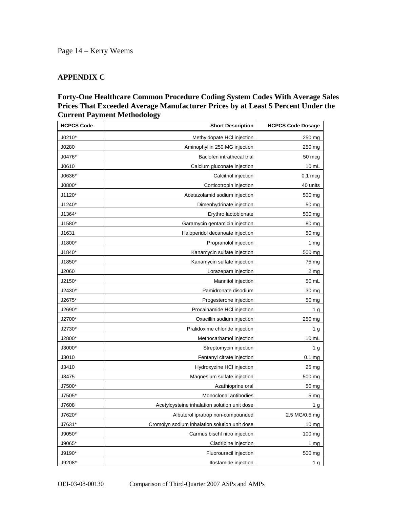### **APPENDIX C**

## **Forty-One Healthcare Common Procedure Coding System Codes With Average Sales Prices That Exceeded Average Manufacturer Prices by at Least 5 Percent Under the Current Payment Methodology**

| <b>HCPCS Code</b> | <b>Short Description</b>                      | <b>HCPCS Code Dosage</b> |
|-------------------|-----------------------------------------------|--------------------------|
| $J0210*$          | Methyldopate HCI injection                    | 250 mg                   |
| J0280             | Aminophyllin 250 MG injection                 | 250 mg                   |
| J0476*            | Baclofen intrathecal trial                    | 50 mcg                   |
| J0610             | Calcium gluconate injection                   | $10 \text{ mL}$          |
| J0636*            | Calcitriol injection                          | $0.1$ mcg                |
| J0800*            | Corticotropin injection                       | 40 units                 |
| J1120*            | Acetazolamid sodium injection                 | 500 mg                   |
| J1240*            | Dimenhydrinate injection                      | 50 mg                    |
| J1364*            | Erythro lactobionate                          | 500 mg                   |
| J1580*            | Garamycin gentamicin injection                | 80 mg                    |
| J1631             | Haloperidol decanoate injection               | 50 mg                    |
| J1800*            | Propranolol injection                         | 1 $mg$                   |
| J1840*            | Kanamycin sulfate injection                   | 500 mg                   |
| J1850*            | Kanamycin sulfate injection                   | 75 mg                    |
| J2060             | Lorazepam injection                           | 2 mg                     |
| J2150*            | Mannitol injection                            | 50 mL                    |
| J2430*            | Pamidronate disodium                          | 30 mg                    |
| J2675*            | Progesterone injection                        | 50 mg                    |
| J2690*            | Procainamide HCI injection                    | 1 <sub>g</sub>           |
| J2700*            | Oxacillin sodium injection                    | 250 mg                   |
| J2730*            | Pralidoxime chloride injection                | 1 g                      |
| J2800*            | Methocarbamol injection                       | 10 mL                    |
| J3000*            | Streptomycin injection                        | 1 g                      |
| J3010             | Fentanyl citrate injection                    | $0.1$ mg                 |
| J3410             | Hydroxyzine HCI injection                     | 25 <sub>mg</sub>         |
| J3475             | Magnesium sulfate injection                   | 500 mg                   |
| J7500*            | Azathioprine oral                             | 50 mg                    |
| J7505*            | Monoclonal antibodies                         | 5 mg                     |
| J7608             | Acetylcysteine inhalation solution unit dose  | 1 <sub>g</sub>           |
| J7620*            | Albuterol ipratrop non-compounded             | 2.5 MG/0.5 mg            |
| J7631*            | Cromolyn sodium inhalation solution unit dose | 10 <sub>mg</sub>         |
| J9050*            | Carmus bischl nitro injection                 | 100 mg                   |
| J9065*            | Cladribine injection                          | 1 <sub>mg</sub>          |
| J9190*            | Fluorouracil injection                        | 500 mg                   |
| J9208*            | Ifosfamide injection                          | 1g                       |